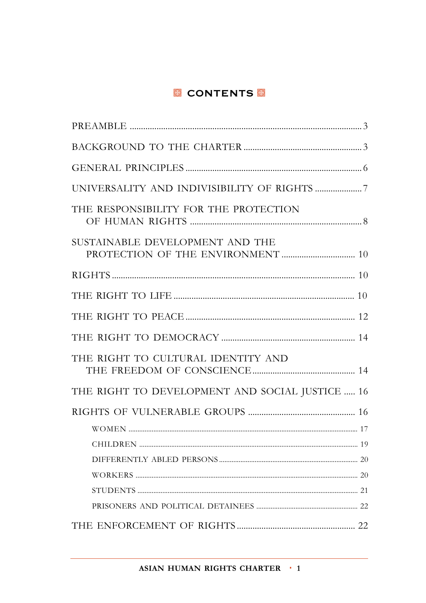#### **CONTENTS**

| THE RESPONSIBILITY FOR THE PROTECTION           |
|-------------------------------------------------|
| SUSTAINABLE DEVELOPMENT AND THE                 |
|                                                 |
|                                                 |
|                                                 |
|                                                 |
| THE RIGHT TO CULTURAL IDENTITY AND              |
| THE RIGHT TO DEVELOPMENT AND SOCIAL JUSTICE  16 |
|                                                 |
|                                                 |
|                                                 |
|                                                 |
|                                                 |
|                                                 |
|                                                 |
|                                                 |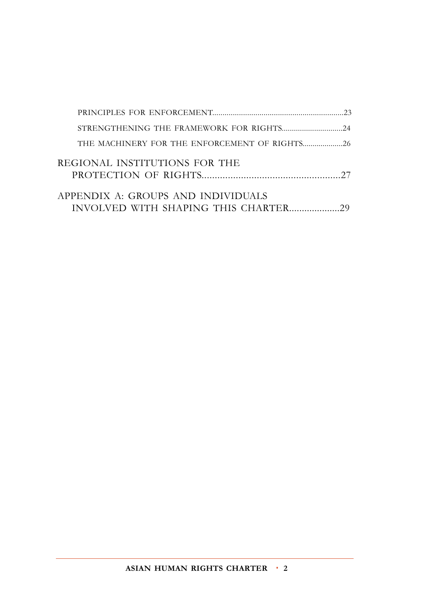| THE MACHINERY FOR THE ENFORCEMENT OF RIGHTS26 |  |
|-----------------------------------------------|--|
| REGIONAL INSTITUTIONS FOR THE                 |  |
| APPENDIX A: GROUPS AND INDIVIDUALS            |  |
|                                               |  |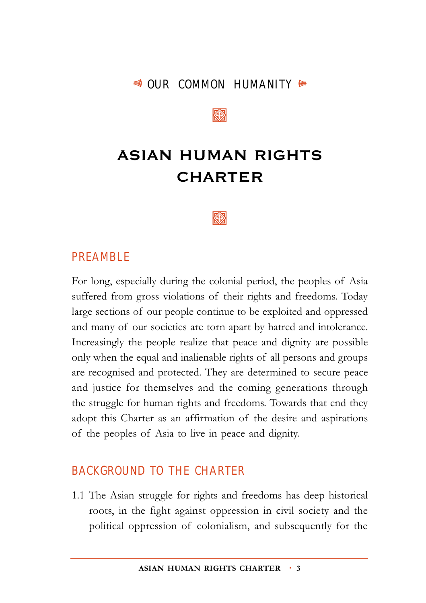### $\triangleq$  OUR COMMON HUMANITY  $\triangleright$

#### Kor

# ASIAN HUMAN RIGHTS **CHARTER**

### Ko

#### PREAMBLE

For long, especially during the colonial period, the peoples of Asia suffered from gross violations of their rights and freedoms. Today large sections of our people continue to be exploited and oppressed and many of our societies are torn apart by hatred and intolerance. Increasingly the people realize that peace and dignity are possible only when the equal and inalienable rights of all persons and groups are recognised and protected. They are determined to secure peace and justice for themselves and the coming generations through the struggle for human rights and freedoms. Towards that end they adopt this Charter as an affirmation of the desire and aspirations of the peoples of Asia to live in peace and dignity.

#### BACKGROUND TO THE CHARTER

1.1 The Asian struggle for rights and freedoms has deep historical roots, in the fight against oppression in civil society and the political oppression of colonialism, and subsequently for the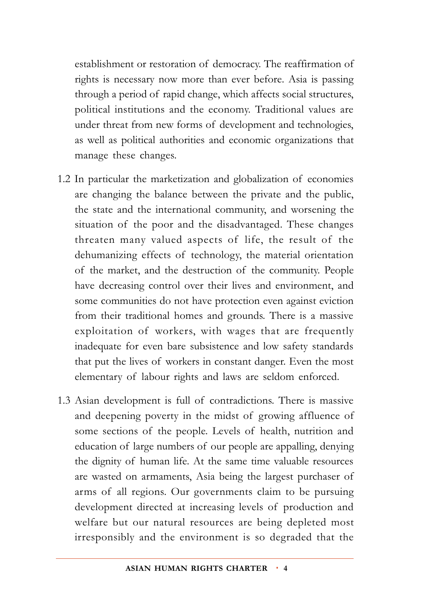establishment or restoration of democracy. The reaffirmation of rights is necessary now more than ever before. Asia is passing through a period of rapid change, which affects social structures, political institutions and the economy. Traditional values are under threat from new forms of development and technologies, as well as political authorities and economic organizations that manage these changes.

- 1.2 In particular the marketization and globalization of economies are changing the balance between the private and the public, the state and the international community, and worsening the situation of the poor and the disadvantaged. These changes threaten many valued aspects of life, the result of the dehumanizing effects of technology, the material orientation of the market, and the destruction of the community. People have decreasing control over their lives and environment, and some communities do not have protection even against eviction from their traditional homes and grounds. There is a massive exploitation of workers, with wages that are frequently inadequate for even bare subsistence and low safety standards that put the lives of workers in constant danger. Even the most elementary of labour rights and laws are seldom enforced.
- 1.3 Asian development is full of contradictions. There is massive and deepening poverty in the midst of growing affluence of some sections of the people. Levels of health, nutrition and education of large numbers of our people are appalling, denying the dignity of human life. At the same time valuable resources are wasted on armaments, Asia being the largest purchaser of arms of all regions. Our governments claim to be pursuing development directed at increasing levels of production and welfare but our natural resources are being depleted most irresponsibly and the environment is so degraded that the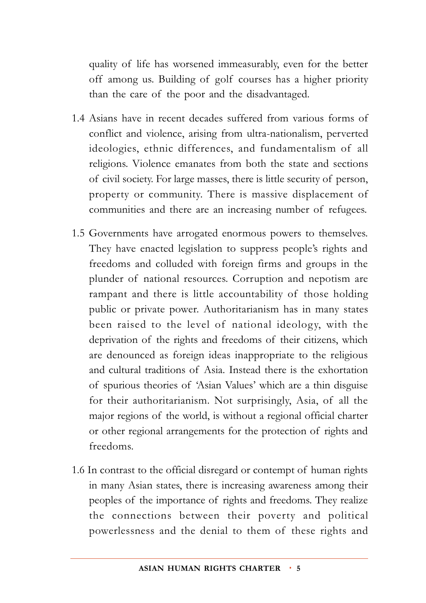quality of life has worsened immeasurably, even for the better off among us. Building of golf courses has a higher priority than the care of the poor and the disadvantaged.

- 1.4 Asians have in recent decades suffered from various forms of conflict and violence, arising from ultra-nationalism, perverted ideologies, ethnic differences, and fundamentalism of all religions. Violence emanates from both the state and sections of civil society. For large masses, there is little security of person, property or community. There is massive displacement of communities and there are an increasing number of refugees.
- 1.5 Governments have arrogated enormous powers to themselves. They have enacted legislation to suppress people's rights and freedoms and colluded with foreign firms and groups in the plunder of national resources. Corruption and nepotism are rampant and there is little accountability of those holding public or private power. Authoritarianism has in many states been raised to the level of national ideology, with the deprivation of the rights and freedoms of their citizens, which are denounced as foreign ideas inappropriate to the religious and cultural traditions of Asia. Instead there is the exhortation of spurious theories of 'Asian Values' which are a thin disguise for their authoritarianism. Not surprisingly, Asia, of all the major regions of the world, is without a regional official charter or other regional arrangements for the protection of rights and freedoms.
- 1.6 In contrast to the official disregard or contempt of human rights in many Asian states, there is increasing awareness among their peoples of the importance of rights and freedoms. They realize the connections between their poverty and political powerlessness and the denial to them of these rights and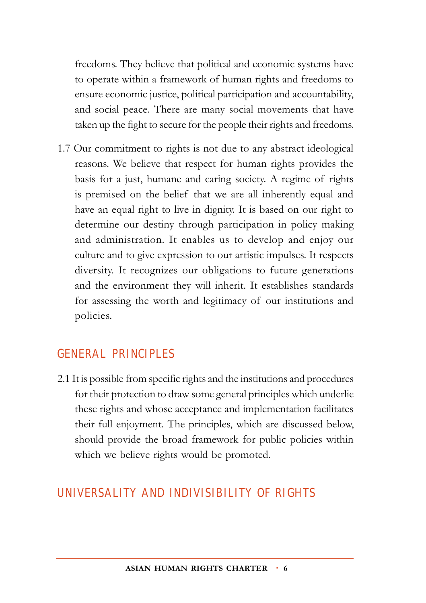freedoms. They believe that political and economic systems have to operate within a framework of human rights and freedoms to ensure economic justice, political participation and accountability, and social peace. There are many social movements that have taken up the fight to secure for the people their rights and freedoms.

1.7 Our commitment to rights is not due to any abstract ideological reasons. We believe that respect for human rights provides the basis for a just, humane and caring society. A regime of rights is premised on the belief that we are all inherently equal and have an equal right to live in dignity. It is based on our right to determine our destiny through participation in policy making and administration. It enables us to develop and enjoy our culture and to give expression to our artistic impulses. It respects diversity. It recognizes our obligations to future generations and the environment they will inherit. It establishes standards for assessing the worth and legitimacy of our institutions and policies.

# GENERAL PRINCIPLES

2.1 It is possible from specific rights and the institutions and procedures for their protection to draw some general principles which underlie these rights and whose acceptance and implementation facilitates their full enjoyment. The principles, which are discussed below, should provide the broad framework for public policies within which we believe rights would be promoted.

# UNIVERSALITY AND INDIVISIBILITY OF RIGHTS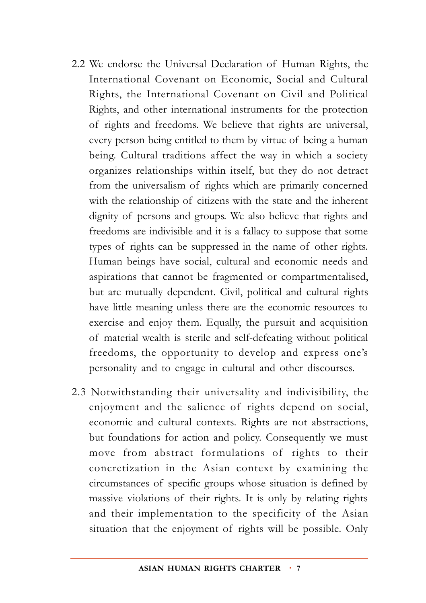- 2.2 We endorse the Universal Declaration of Human Rights, the International Covenant on Economic, Social and Cultural Rights, the International Covenant on Civil and Political Rights, and other international instruments for the protection of rights and freedoms. We believe that rights are universal, every person being entitled to them by virtue of being a human being. Cultural traditions affect the way in which a society organizes relationships within itself, but they do not detract from the universalism of rights which are primarily concerned with the relationship of citizens with the state and the inherent dignity of persons and groups. We also believe that rights and freedoms are indivisible and it is a fallacy to suppose that some types of rights can be suppressed in the name of other rights. Human beings have social, cultural and economic needs and aspirations that cannot be fragmented or compartmentalised, but are mutually dependent. Civil, political and cultural rights have little meaning unless there are the economic resources to exercise and enjoy them. Equally, the pursuit and acquisition of material wealth is sterile and self-defeating without political freedoms, the opportunity to develop and express one's personality and to engage in cultural and other discourses.
- 2.3 Notwithstanding their universality and indivisibility, the enjoyment and the salience of rights depend on social, economic and cultural contexts. Rights are not abstractions, but foundations for action and policy. Consequently we must move from abstract formulations of rights to their concretization in the Asian context by examining the circumstances of specific groups whose situation is defined by massive violations of their rights. It is only by relating rights and their implementation to the specificity of the Asian situation that the enjoyment of rights will be possible. Only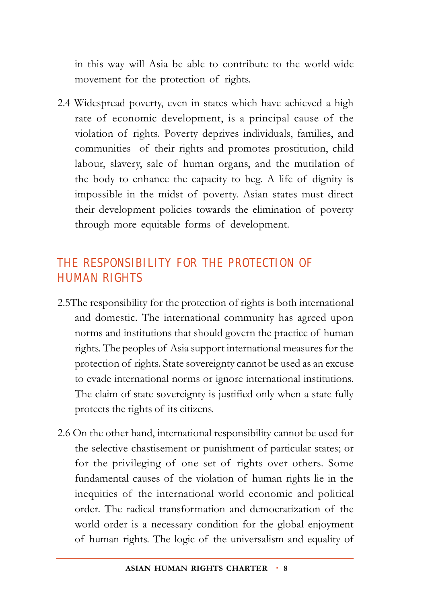in this way will Asia be able to contribute to the world-wide movement for the protection of rights.

2.4 Widespread poverty, even in states which have achieved a high rate of economic development, is a principal cause of the violation of rights. Poverty deprives individuals, families, and communities of their rights and promotes prostitution, child labour, slavery, sale of human organs, and the mutilation of the body to enhance the capacity to beg. A life of dignity is impossible in the midst of poverty. Asian states must direct their development policies towards the elimination of poverty through more equitable forms of development.

# THE RESPONSIBILITY FOR THE PROTECTION OF HUMAN RIGHTS

- 2.5The responsibility for the protection of rights is both international and domestic. The international community has agreed upon norms and institutions that should govern the practice of human rights. The peoples of Asia support international measures for the protection of rights. State sovereignty cannot be used as an excuse to evade international norms or ignore international institutions. The claim of state sovereignty is justified only when a state fully protects the rights of its citizens.
- 2.6 On the other hand, international responsibility cannot be used for the selective chastisement or punishment of particular states; or for the privileging of one set of rights over others. Some fundamental causes of the violation of human rights lie in the inequities of the international world economic and political order. The radical transformation and democratization of the world order is a necessary condition for the global enjoyment of human rights. The logic of the universalism and equality of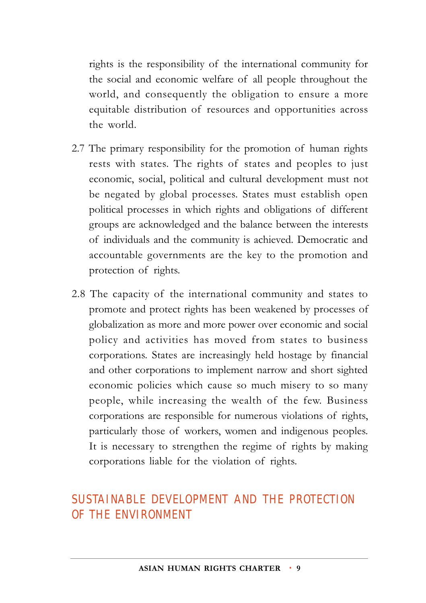rights is the responsibility of the international community for the social and economic welfare of all people throughout the world, and consequently the obligation to ensure a more equitable distribution of resources and opportunities across the world.

- 2.7 The primary responsibility for the promotion of human rights rests with states. The rights of states and peoples to just economic, social, political and cultural development must not be negated by global processes. States must establish open political processes in which rights and obligations of different groups are acknowledged and the balance between the interests of individuals and the community is achieved. Democratic and accountable governments are the key to the promotion and protection of rights.
- 2.8 The capacity of the international community and states to promote and protect rights has been weakened by processes of globalization as more and more power over economic and social policy and activities has moved from states to business corporations. States are increasingly held hostage by financial and other corporations to implement narrow and short sighted economic policies which cause so much misery to so many people, while increasing the wealth of the few. Business corporations are responsible for numerous violations of rights, particularly those of workers, women and indigenous peoples. It is necessary to strengthen the regime of rights by making corporations liable for the violation of rights.

# SUSTAINABLE DEVELOPMENT AND THE PROTECTION OF THE ENVIRONMENT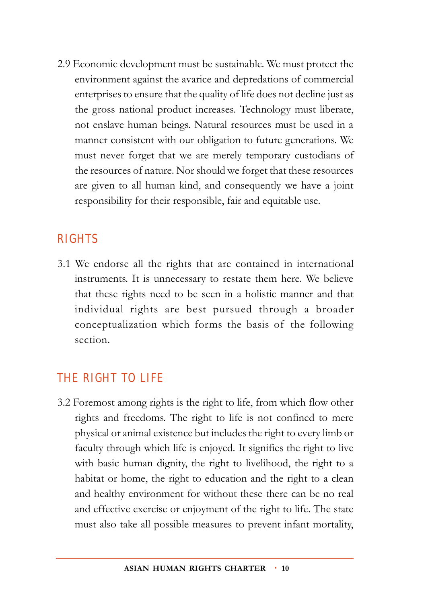<span id="page-9-0"></span>2.9 Economic development must be sustainable. We must protect the environment against the avarice and depredations of commercial enterprises to ensure that the quality of life does not decline just as the gross national product increases. Technology must liberate, not enslave human beings. Natural resources must be used in a manner consistent with our obligation to future generations. We must never forget that we are merely temporary custodians of the resources of nature. Nor should we forget that these resources are given to all human kind, and consequently we have a joint responsibility for their responsible, fair and equitable use.

### **RIGHTS**

3.1 We endorse all the rights that are contained in international instruments. It is unnecessary to restate them here. We believe that these rights need to be seen in a holistic manner and that individual rights are best pursued through a broader conceptualization which forms the basis of the following section.

# THE RIGHT TO LIFE

3.2 Foremost among rights is the right to life, from which flow other rights and freedoms. The right to life is not confined to mere physical or animal existence but includes the right to every limb or faculty through which life is enjoyed. It signifies the right to live with basic human dignity, the right to livelihood, the right to a habitat or home, the right to education and the right to a clean and healthy environment for without these there can be no real and effective exercise or enjoyment of the right to life. The state must also take all possible measures to prevent infant mortality,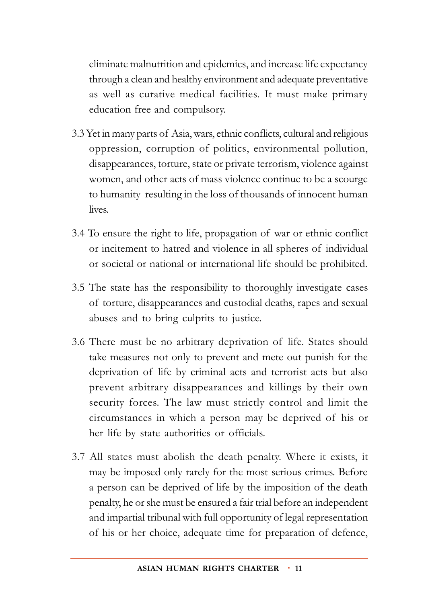eliminate malnutrition and epidemics, and increase life expectancy through a clean and healthy environment and adequate preventative as well as curative medical facilities. It must make primary education free and compulsory.

- 3.3 Yet in many parts of Asia, wars, ethnic conflicts, cultural and religious oppression, corruption of politics, environmental pollution, disappearances, torture, state or private terrorism, violence against women, and other acts of mass violence continue to be a scourge to humanity resulting in the loss of thousands of innocent human lives.
- 3.4 To ensure the right to life, propagation of war or ethnic conflict or incitement to hatred and violence in all spheres of individual or societal or national or international life should be prohibited.
- 3.5 The state has the responsibility to thoroughly investigate cases of torture, disappearances and custodial deaths, rapes and sexual abuses and to bring culprits to justice.
- 3.6 There must be no arbitrary deprivation of life. States should take measures not only to prevent and mete out punish for the deprivation of life by criminal acts and terrorist acts but also prevent arbitrary disappearances and killings by their own security forces. The law must strictly control and limit the circumstances in which a person may be deprived of his or her life by state authorities or officials.
- 3.7 All states must abolish the death penalty. Where it exists, it may be imposed only rarely for the most serious crimes. Before a person can be deprived of life by the imposition of the death penalty, he or she must be ensured a fair trial before an independent and impartial tribunal with full opportunity of legal representation of his or her choice, adequate time for preparation of defence,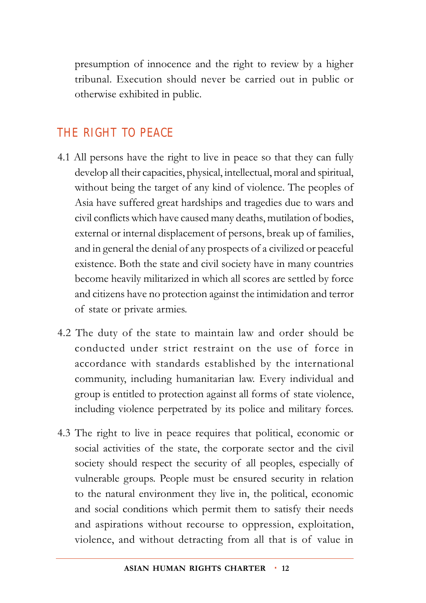<span id="page-11-0"></span>presumption of innocence and the right to review by a higher tribunal. Execution should never be carried out in public or otherwise exhibited in public.

# THE RIGHT TO PEACE

- 4.1 All persons have the right to live in peace so that they can fully develop all their capacities, physical, intellectual, moral and spiritual, without being the target of any kind of violence. The peoples of Asia have suffered great hardships and tragedies due to wars and civil conflicts which have caused many deaths, mutilation of bodies, external or internal displacement of persons, break up of families, and in general the denial of any prospects of a civilized or peaceful existence. Both the state and civil society have in many countries become heavily militarized in which all scores are settled by force and citizens have no protection against the intimidation and terror of state or private armies.
- 4.2 The duty of the state to maintain law and order should be conducted under strict restraint on the use of force in accordance with standards established by the international community, including humanitarian law. Every individual and group is entitled to protection against all forms of state violence, including violence perpetrated by its police and military forces.
- 4.3 The right to live in peace requires that political, economic or social activities of the state, the corporate sector and the civil society should respect the security of all peoples, especially of vulnerable groups. People must be ensured security in relation to the natural environment they live in, the political, economic and social conditions which permit them to satisfy their needs and aspirations without recourse to oppression, exploitation, violence, and without detracting from all that is of value in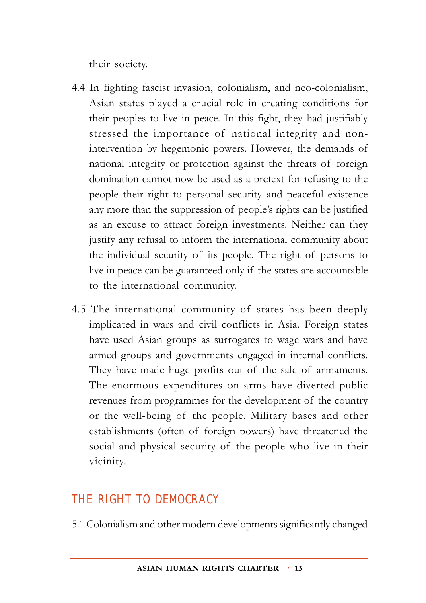<span id="page-12-0"></span>their society.

- 4.4 In fighting fascist invasion, colonialism, and neo-colonialism, Asian states played a crucial role in creating conditions for their peoples to live in peace. In this fight, they had justifiably stressed the importance of national integrity and nonintervention by hegemonic powers. However, the demands of national integrity or protection against the threats of foreign domination cannot now be used as a pretext for refusing to the people their right to personal security and peaceful existence any more than the suppression of people's rights can be justified as an excuse to attract foreign investments. Neither can they justify any refusal to inform the international community about the individual security of its people. The right of persons to live in peace can be guaranteed only if the states are accountable to the international community.
- 4.5 The international community of states has been deeply implicated in wars and civil conflicts in Asia. Foreign states have used Asian groups as surrogates to wage wars and have armed groups and governments engaged in internal conflicts. They have made huge profits out of the sale of armaments. The enormous expenditures on arms have diverted public revenues from programmes for the development of the country or the well-being of the people. Military bases and other establishments (often of foreign powers) have threatened the social and physical security of the people who live in their vicinity.

# THE RIGHT TO DEMOCRACY

5.1 Colonialism and other modern developments significantly changed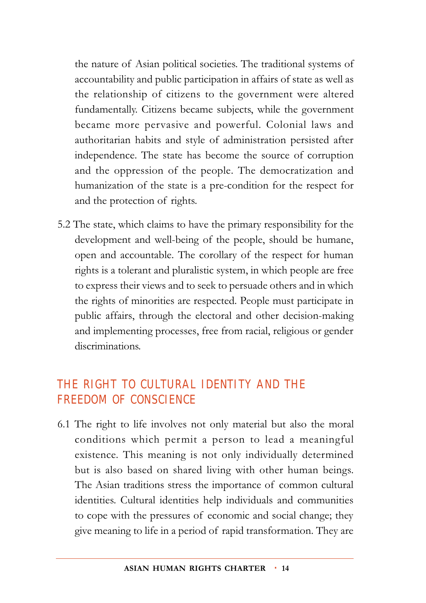<span id="page-13-0"></span>the nature of Asian political societies. The traditional systems of accountability and public participation in affairs of state as well as the relationship of citizens to the government were altered fundamentally. Citizens became subjects, while the government became more pervasive and powerful. Colonial laws and authoritarian habits and style of administration persisted after independence. The state has become the source of corruption and the oppression of the people. The democratization and humanization of the state is a pre-condition for the respect for and the protection of rights.

5.2 The state, which claims to have the primary responsibility for the development and well-being of the people, should be humane, open and accountable. The corollary of the respect for human rights is a tolerant and pluralistic system, in which people are free to express their views and to seek to persuade others and in which the rights of minorities are respected. People must participate in public affairs, through the electoral and other decision-making and implementing processes, free from racial, religious or gender discriminations.

# THE RIGHT TO CULTURAL IDENTITY AND THE FREEDOM OF CONSCIENCE

6.1 The right to life involves not only material but also the moral conditions which permit a person to lead a meaningful existence. This meaning is not only individually determined but is also based on shared living with other human beings. The Asian traditions stress the importance of common cultural identities. Cultural identities help individuals and communities to cope with the pressures of economic and social change; they give meaning to life in a period of rapid transformation. They are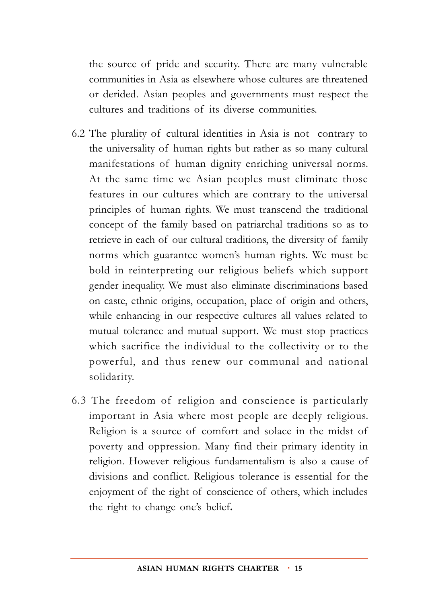the source of pride and security. There are many vulnerable communities in Asia as elsewhere whose cultures are threatened or derided. Asian peoples and governments must respect the cultures and traditions of its diverse communities.

- 6.2 The plurality of cultural identities in Asia is not contrary to the universality of human rights but rather as so many cultural manifestations of human dignity enriching universal norms. At the same time we Asian peoples must eliminate those features in our cultures which are contrary to the universal principles of human rights. We must transcend the traditional concept of the family based on patriarchal traditions so as to retrieve in each of our cultural traditions, the diversity of family norms which guarantee women's human rights. We must be bold in reinterpreting our religious beliefs which support gender inequality. We must also eliminate discriminations based on caste, ethnic origins, occupation, place of origin and others, while enhancing in our respective cultures all values related to mutual tolerance and mutual support. We must stop practices which sacrifice the individual to the collectivity or to the powerful, and thus renew our communal and national solidarity.
- 6.3 The freedom of religion and conscience is particularly important in Asia where most people are deeply religious. Religion is a source of comfort and solace in the midst of poverty and oppression. Many find their primary identity in religion. However religious fundamentalism is also a cause of divisions and conflict. Religious tolerance is essential for the enjoyment of the right of conscience of others, which includes the right to change one's belief.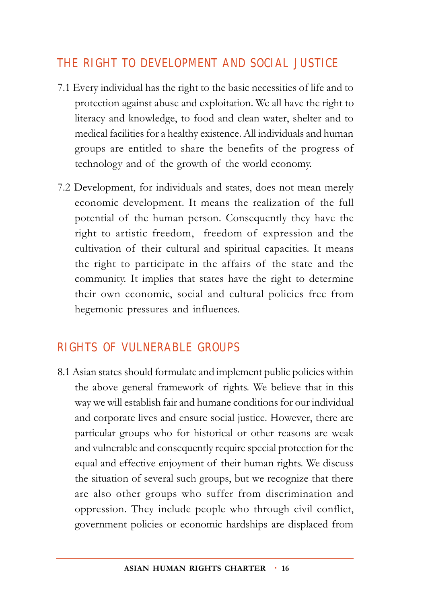# <span id="page-15-0"></span>THE RIGHT TO DEVELOPMENT AND SOCIAL JUSTICE

- 7.1 Every individual has the right to the basic necessities of life and to protection against abuse and exploitation. We all have the right to literacy and knowledge, to food and clean water, shelter and to medical facilities for a healthy existence. All individuals and human groups are entitled to share the benefits of the progress of technology and of the growth of the world economy.
- 7.2 Development, for individuals and states, does not mean merely economic development. It means the realization of the full potential of the human person. Consequently they have the right to artistic freedom, freedom of expression and the cultivation of their cultural and spiritual capacities. It means the right to participate in the affairs of the state and the community. It implies that states have the right to determine their own economic, social and cultural policies free from hegemonic pressures and influences.

# RIGHTS OF VULNERABLE GROUPS

8.1 Asian states should formulate and implement public policies within the above general framework of rights. We believe that in this way we will establish fair and humane conditions for our individual and corporate lives and ensure social justice. However, there are particular groups who for historical or other reasons are weak and vulnerable and consequently require special protection for the equal and effective enjoyment of their human rights. We discuss the situation of several such groups, but we recognize that there are also other groups who suffer from discrimination and oppression. They include people who through civil conflict, government policies or economic hardships are displaced from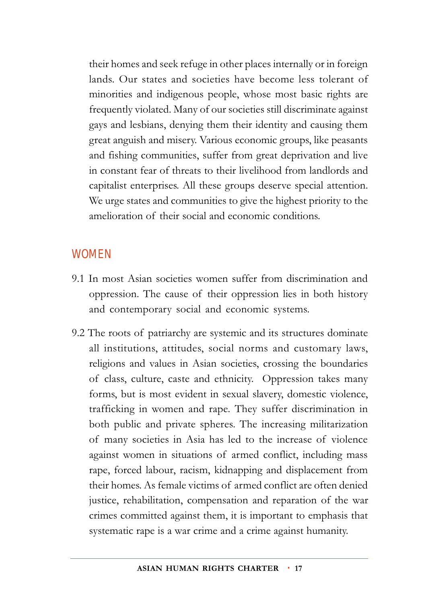<span id="page-16-0"></span>their homes and seek refuge in other places internally or in foreign lands. Our states and societies have become less tolerant of minorities and indigenous people, whose most basic rights are frequently violated. Many of our societies still discriminate against gays and lesbians, denying them their identity and causing them great anguish and misery. Various economic groups, like peasants and fishing communities, suffer from great deprivation and live in constant fear of threats to their livelihood from landlords and capitalist enterprises. All these groups deserve special attention. We urge states and communities to give the highest priority to the amelioration of their social and economic conditions.

### WOMEN

- 9.1 In most Asian societies women suffer from discrimination and oppression. The cause of their oppression lies in both history and contemporary social and economic systems.
- 9.2 The roots of patriarchy are systemic and its structures dominate all institutions, attitudes, social norms and customary laws, religions and values in Asian societies, crossing the boundaries of class, culture, caste and ethnicity. Oppression takes many forms, but is most evident in sexual slavery, domestic violence, trafficking in women and rape. They suffer discrimination in both public and private spheres. The increasing militarization of many societies in Asia has led to the increase of violence against women in situations of armed conflict, including mass rape, forced labour, racism, kidnapping and displacement from their homes. As female victims of armed conflict are often denied justice, rehabilitation, compensation and reparation of the war crimes committed against them, it is important to emphasis that systematic rape is a war crime and a crime against humanity.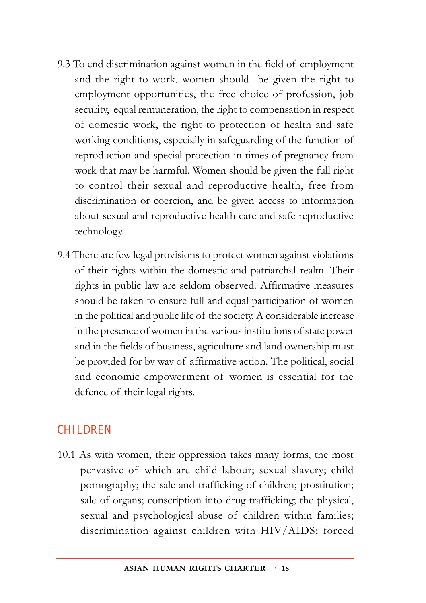- 9.3 To end discrimination against women in the field of employment and the right to work, women should be given the right to employment opportunities, the free choice of profession, job security, equal remuneration, the right to compensation in respect of domestic work, the right to protection of health and safe working conditions, especially in safeguarding of the function of reproduction and special protection in times of pregnancy from work that may be harmful. Women should be given the full right to control their sexual and reproductive health, free from discrimination or coercion, and be given access to information about sexual and reproductive health care and safe reproductive technology.
- 9.4 There are few legal provisions to protect women against violations of their rights within the domestic and patriarchal realm. Their rights in public law are seldom observed. Affirmative measures should be taken to ensure full and equal participation of women in the political and public life of the society. A considerable increase in the presence of women in the various institutions of state power and in the fields of business, agriculture and land ownership must be provided for by way of affirmative action. The political, social and economic empowerment of women is essential for the defence of their legal rights.

### CHILDREN

10.1 As with women, their oppression takes many forms, the most pervasive of which are child labour; sexual slavery; child pornography; the sale and trafficking of children; prostitution; sale of organs; conscription into drug trafficking; the physical, sexual and psychological abuse of children within families; discrimination against children with HIV/AIDS; forced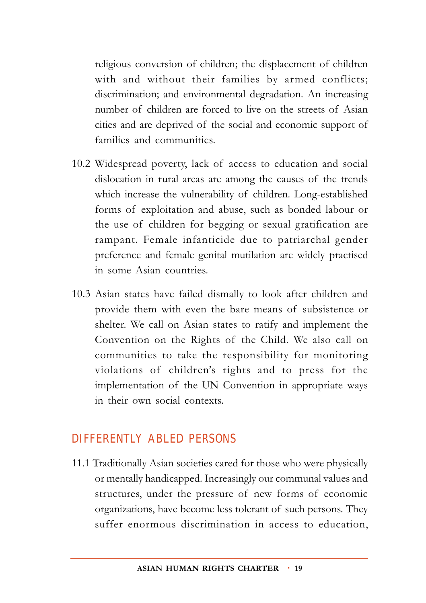<span id="page-18-0"></span>religious conversion of children; the displacement of children with and without their families by armed conflicts; discrimination; and environmental degradation. An increasing number of children are forced to live on the streets of Asian cities and are deprived of the social and economic support of families and communities.

- 10.2 Widespread poverty, lack of access to education and social dislocation in rural areas are among the causes of the trends which increase the vulnerability of children. Long-established forms of exploitation and abuse, such as bonded labour or the use of children for begging or sexual gratification are rampant. Female infanticide due to patriarchal gender preference and female genital mutilation are widely practised in some Asian countries.
- 10.3 Asian states have failed dismally to look after children and provide them with even the bare means of subsistence or shelter. We call on Asian states to ratify and implement the Convention on the Rights of the Child. We also call on communities to take the responsibility for monitoring violations of children's rights and to press for the implementation of the UN Convention in appropriate ways in their own social contexts.

### DIFFERENTLY ABLED PERSONS

11.1 Traditionally Asian societies cared for those who were physically or mentally handicapped. Increasingly our communal values and structures, under the pressure of new forms of economic organizations, have become less tolerant of such persons. They suffer enormous discrimination in access to education,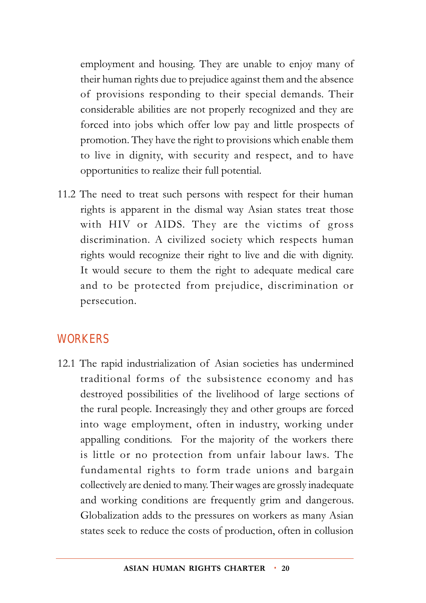<span id="page-19-0"></span>employment and housing. They are unable to enjoy many of their human rights due to prejudice against them and the absence of provisions responding to their special demands. Their considerable abilities are not properly recognized and they are forced into jobs which offer low pay and little prospects of promotion. They have the right to provisions which enable them to live in dignity, with security and respect, and to have opportunities to realize their full potential.

11.2 The need to treat such persons with respect for their human rights is apparent in the dismal way Asian states treat those with HIV or AIDS. They are the victims of gross discrimination. A civilized society which respects human rights would recognize their right to live and die with dignity. It would secure to them the right to adequate medical care and to be protected from prejudice, discrimination or persecution.

### WORKERS

12.1 The rapid industrialization of Asian societies has undermined traditional forms of the subsistence economy and has destroyed possibilities of the livelihood of large sections of the rural people. Increasingly they and other groups are forced into wage employment, often in industry, working under appalling conditions. For the majority of the workers there is little or no protection from unfair labour laws. The fundamental rights to form trade unions and bargain collectively are denied to many. Their wages are grossly inadequate and working conditions are frequently grim and dangerous. Globalization adds to the pressures on workers as many Asian states seek to reduce the costs of production, often in collusion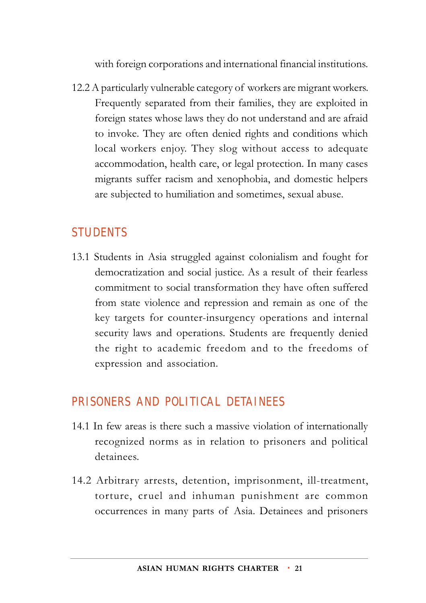with foreign corporations and international financial institutions.

<span id="page-20-0"></span>12.2 A particularly vulnerable category of workers are migrant workers. Frequently separated from their families, they are exploited in foreign states whose laws they do not understand and are afraid to invoke. They are often denied rights and conditions which local workers enjoy. They slog without access to adequate accommodation, health care, or legal protection. In many cases migrants suffer racism and xenophobia, and domestic helpers are subjected to humiliation and sometimes, sexual abuse.

### **STUDENTS**

13.1 Students in Asia struggled against colonialism and fought for democratization and social justice. As a result of their fearless commitment to social transformation they have often suffered from state violence and repression and remain as one of the key targets for counter-insurgency operations and internal security laws and operations. Students are frequently denied the right to academic freedom and to the freedoms of expression and association.

# PRISONERS AND POLITICAL DETAINEES

- 14.1 In few areas is there such a massive violation of internationally recognized norms as in relation to prisoners and political detainees.
- 14.2 Arbitrary arrests, detention, imprisonment, ill-treatment, torture, cruel and inhuman punishment are common occurrences in many parts of Asia. Detainees and prisoners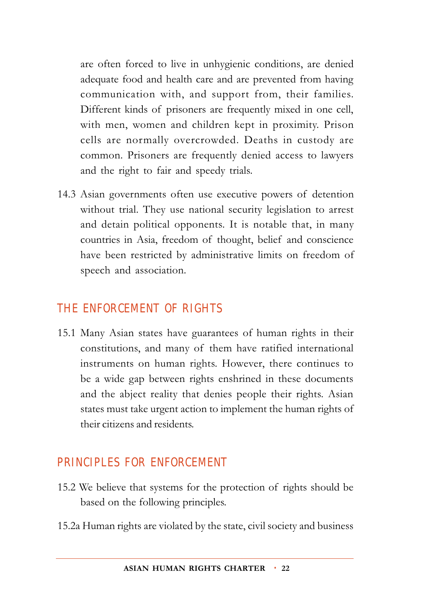<span id="page-21-0"></span>are often forced to live in unhygienic conditions, are denied adequate food and health care and are prevented from having communication with, and support from, their families. Different kinds of prisoners are frequently mixed in one cell, with men, women and children kept in proximity. Prison cells are normally overcrowded. Deaths in custody are common. Prisoners are frequently denied access to lawyers and the right to fair and speedy trials.

14.3 Asian governments often use executive powers of detention without trial. They use national security legislation to arrest and detain political opponents. It is notable that, in many countries in Asia, freedom of thought, belief and conscience have been restricted by administrative limits on freedom of speech and association.

### THE ENFORCEMENT OF RIGHTS

15.1 Many Asian states have guarantees of human rights in their constitutions, and many of them have ratified international instruments on human rights. However, there continues to be a wide gap between rights enshrined in these documents and the abject reality that denies people their rights. Asian states must take urgent action to implement the human rights of their citizens and residents.

### PRINCIPLES FOR ENFORCEMENT

- 15.2 We believe that systems for the protection of rights should be based on the following principles.
- 15.2a Human rights are violated by the state, civil society and business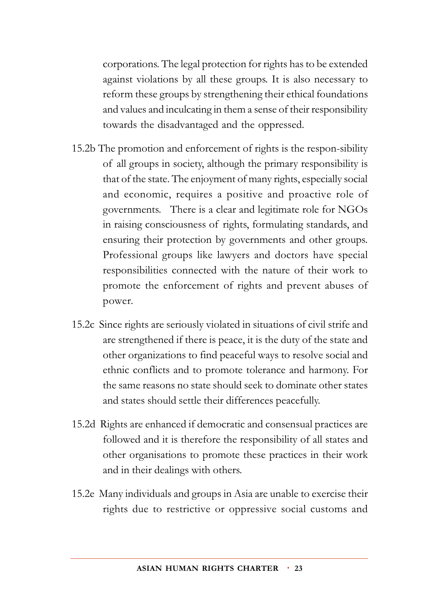corporations. The legal protection for rights has to be extended against violations by all these groups. It is also necessary to reform these groups by strengthening their ethical foundations and values and inculcating in them a sense of their responsibility towards the disadvantaged and the oppressed.

- 15.2b The promotion and enforcement of rights is the respon-sibility of all groups in society, although the primary responsibility is that of the state. The enjoyment of many rights, especially social and economic, requires a positive and proactive role of governments. There is a clear and legitimate role for NGOs in raising consciousness of rights, formulating standards, and ensuring their protection by governments and other groups. Professional groups like lawyers and doctors have special responsibilities connected with the nature of their work to promote the enforcement of rights and prevent abuses of power.
- 15.2c Since rights are seriously violated in situations of civil strife and are strengthened if there is peace, it is the duty of the state and other organizations to find peaceful ways to resolve social and ethnic conflicts and to promote tolerance and harmony. For the same reasons no state should seek to dominate other states and states should settle their differences peacefully.
- 15.2d Rights are enhanced if democratic and consensual practices are followed and it is therefore the responsibility of all states and other organisations to promote these practices in their work and in their dealings with others.
- 15.2e Many individuals and groups in Asia are unable to exercise their rights due to restrictive or oppressive social customs and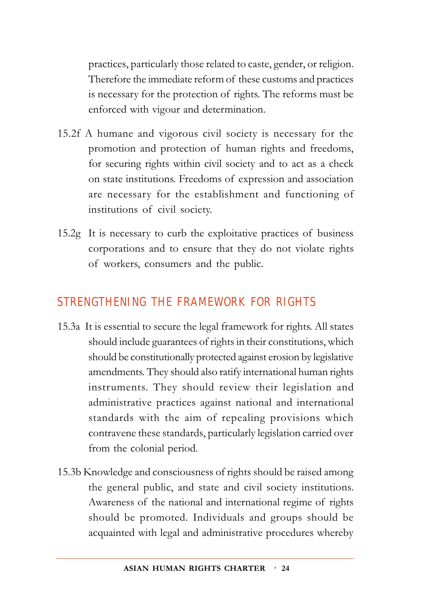practices, particularly those related to caste, gender, or religion. Therefore the immediate reform of these customs and practices is necessary for the protection of rights. The reforms must be enforced with vigour and determination.

- 15.2f A humane and vigorous civil society is necessary for the promotion and protection of human rights and freedoms, for securing rights within civil society and to act as a check on state institutions. Freedoms of expression and association are necessary for the establishment and functioning of institutions of civil society.
- 15.2g It is necessary to curb the exploitative practices of business corporations and to ensure that they do not violate rights of workers, consumers and the public.

### STRENGTHENING THE FRAMEWORK FOR RIGHTS

- 15.3a It is essential to secure the legal framework for rights. All states should include guarantees of rights in their constitutions, which should be constitutionally protected against erosion by legislative amendments. They should also ratify international human rights instruments. They should review their legislation and administrative practices against national and international standards with the aim of repealing provisions which contravene these standards, particularly legislation carried over from the colonial period.
- 15.3b Knowledge and consciousness of rights should be raised among the general public, and state and civil society institutions. Awareness of the national and international regime of rights should be promoted. Individuals and groups should be acquainted with legal and administrative procedures whereby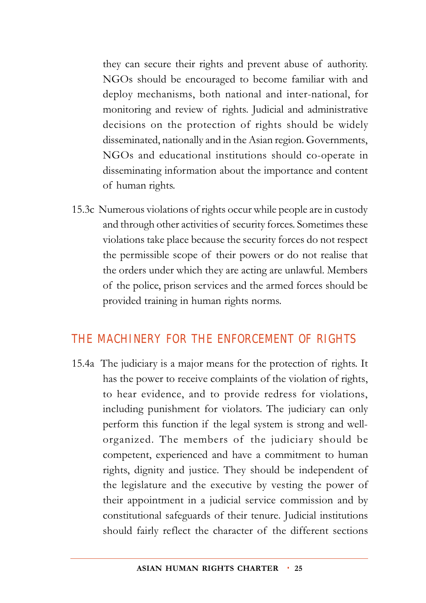they can secure their rights and prevent abuse of authority. NGOs should be encouraged to become familiar with and deploy mechanisms, both national and inter-national, for monitoring and review of rights. Judicial and administrative decisions on the protection of rights should be widely disseminated, nationally and in the Asian region. Governments, NGOs and educational institutions should co-operate in disseminating information about the importance and content of human rights.

15.3c Numerous violations of rights occur while people are in custody and through other activities of security forces. Sometimes these violations take place because the security forces do not respect the permissible scope of their powers or do not realise that the orders under which they are acting are unlawful. Members of the police, prison services and the armed forces should be provided training in human rights norms.

### THE MACHINERY FOR THE ENFORCEMENT OF RIGHTS

15.4a The judiciary is a major means for the protection of rights. It has the power to receive complaints of the violation of rights, to hear evidence, and to provide redress for violations, including punishment for violators. The judiciary can only perform this function if the legal system is strong and wellorganized. The members of the judiciary should be competent, experienced and have a commitment to human rights, dignity and justice. They should be independent of the legislature and the executive by vesting the power of their appointment in a judicial service commission and by constitutional safeguards of their tenure. Judicial institutions should fairly reflect the character of the different sections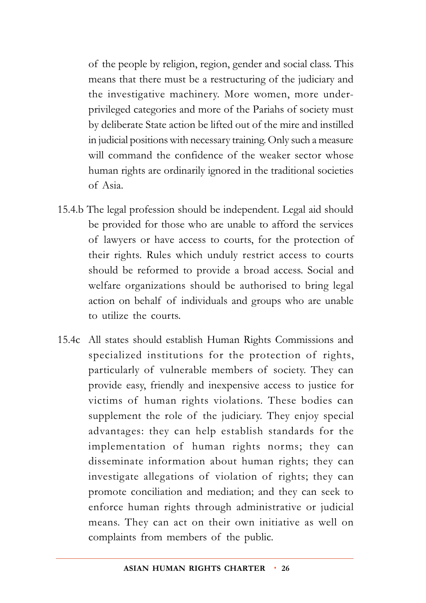of the people by religion, region, gender and social class. This means that there must be a restructuring of the judiciary and the investigative machinery. More women, more underprivileged categories and more of the Pariahs of society must by deliberate State action be lifted out of the mire and instilled in judicial positions with necessary training. Only such a measure will command the confidence of the weaker sector whose human rights are ordinarily ignored in the traditional societies of Asia.

- 15.4.b The legal profession should be independent. Legal aid should be provided for those who are unable to afford the services of lawyers or have access to courts, for the protection of their rights. Rules which unduly restrict access to courts should be reformed to provide a broad access. Social and welfare organizations should be authorised to bring legal action on behalf of individuals and groups who are unable to utilize the courts.
- 15.4c All states should establish Human Rights Commissions and specialized institutions for the protection of rights, particularly of vulnerable members of society. They can provide easy, friendly and inexpensive access to justice for victims of human rights violations. These bodies can supplement the role of the judiciary. They enjoy special advantages: they can help establish standards for the implementation of human rights norms; they can disseminate information about human rights; they can investigate allegations of violation of rights; they can promote conciliation and mediation; and they can seek to enforce human rights through administrative or judicial means. They can act on their own initiative as well on complaints from members of the public.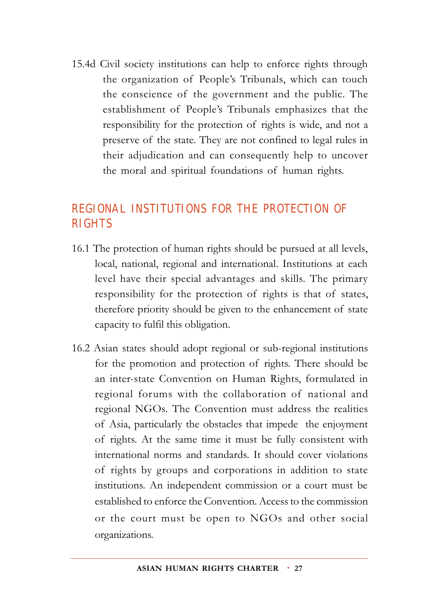15.4d Civil society institutions can help to enforce rights through the organization of People's Tribunals, which can touch the conscience of the government and the public. The establishment of People's Tribunals emphasizes that the responsibility for the protection of rights is wide, and not a preserve of the state. They are not confined to legal rules in their adjudication and can consequently help to uncover the moral and spiritual foundations of human rights.

# REGIONAL INSTITUTIONS FOR THE PROTECTION OF RIGHTS

- 16.1 The protection of human rights should be pursued at all levels, local, national, regional and international. Institutions at each level have their special advantages and skills. The primary responsibility for the protection of rights is that of states, therefore priority should be given to the enhancement of state capacity to fulfil this obligation.
- 16.2 Asian states should adopt regional or sub-regional institutions for the promotion and protection of rights. There should be an inter-state Convention on Human Rights, formulated in regional forums with the collaboration of national and regional NGOs. The Convention must address the realities of Asia, particularly the obstacles that impede the enjoyment of rights. At the same time it must be fully consistent with international norms and standards. It should cover violations of rights by groups and corporations in addition to state institutions. An independent commission or a court must be established to enforce the Convention. Access to the commission or the court must be open to NGOs and other social organizations.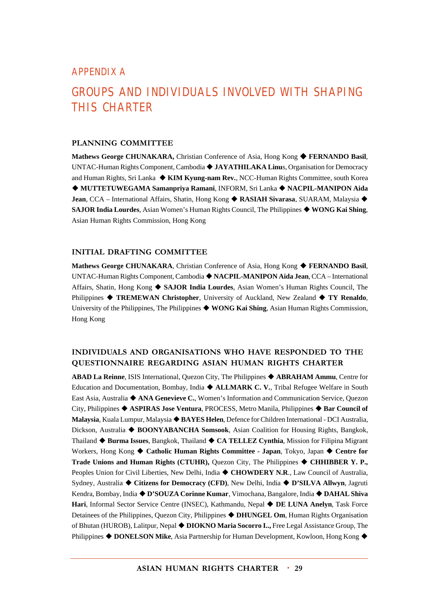#### APPENDIX A

# GROUPS AND INDIVIDUALS INVOLVED WITH SHAPING THIS CHARTER

#### PLANNING COMMITTEE

**Mathews George CHUNAKARA, Christian Conference of Asia, Hong Kong ♦ FERNANDO Basil,** UNTAC-Human Rights Component, Cambodia  $\blacklozenge$  **JAYATHILAKA Linus**, Organisation for Democracy and Human Rights, Sri Lanka ◆ KIM Kyung-nam Rev., NCC-Human Rights Committee, south Korea ◆ MUTTETUWEGAMA Samanpriya Ramani, INFORM, Sri Lanka ◆ NACPIL-MANIPON Aida **Jean**, CCA – International Affairs, Shatin, Hong Kong  $\blacklozenge$  **RASIAH Sivarasa**, SUARAM, Malaysia  $\blacklozenge$ **SAJOR India Lourdes**, Asian Women's Human Rights Council, The Philippines ♦ WONG Kai Shing, Asian Human Rights Commission, Hong Kong

#### INITIAL DRAFTING COMMITTEE

**Mathews George CHUNAKARA**, Christian Conference of Asia, Hong Kong ♦ FERNANDO Basil. UNTAC-Human Rights Component, Cambodia ◆ NACPIL-MANIPON Aida Jean, CCA – International Affairs, Shatin, Hong Kong  $\blacklozenge$  SAJOR India Lourdes, Asian Women's Human Rights Council, The Philippines ◆ **TREMEWAN Christopher**, University of Auckland, New Zealand ◆ TY Renaldo, University of the Philippines, The Philippines  $\blacklozenge$  WONG Kai Shing, Asian Human Rights Commission, Hong Kong

#### INDIVIDUALS AND ORGANISATIONS WHO HAVE RESPONDED TO THE QUESTIONNAIRE REGARDING ASIAN HUMAN RIGHTS CHARTER

**ABAD La Reinne**, ISIS International, Quezon City, The Philippines  $\blacklozenge$  **ABRAHAM Ammu**, Centre for Education and Documentation, Bombay, India  $\blacklozenge$  **ALLMARK C. V.**, Tribal Refugee Welfare in South East Asia, Australia  $\blacklozenge$  ANA Genevieve C., Women's Information and Communication Service, Quezon City, Philippines  $\blacklozenge$  **ASPIRAS Jose Ventura**, PROCESS, Metro Manila, Philippines  $\blacklozenge$  **Bar Council of Malaysia**, Kuala Lumpur, Malaysia ◆ BAYES Helen, Defence for Children International - DCI Australia, Dickson, Australia ◆ **BOONYABANCHA Somsook**, Asian Coalition for Housing Rights, Bangkok, Thailand ♦ Burma Issues, Bangkok, Thailand ♦ CA TELLEZ Cynthia, Mission for Filipina Migrant Workers, Hong Kong  $\triangle$  Catholic Human Rights Committee - Japan, Tokyo, Japan  $\triangle$  Centre for Trade Unions and Human Rights (CTUHR), Quezon City, The Philippines  $\blacklozenge$  CHHIBBER Y. P., Peoples Union for Civil Liberties, New Delhi, India ◆ CHOWDERY N.R., Law Council of Australia, Sydney, Australia  $\blacklozenge$  Citizens for Democracy (CFD), New Delhi, India  $\blacklozenge$  D'SILVA Allwyn, Jagruti Kendra, Bombay, India  $\blacklozenge$  D'SOUZA Corinne Kumar, Vimochana, Bangalore, India  $\blacklozenge$  DAHAL Shiva **Hari**, Informal Sector Service Centre (INSEC), Kathmandu, Nepal ◆ **DE LUNA Anelyn**, Task Force Detainees of the Philippines, Quezon City, Philippines  $\blacklozenge$  **DHUNGEL Om**, Human Rights Organisation of Bhutan (HUROB), Lalitpur, Nepal u **DIOKNO Maria Socorro I..,** Free Legal Assistance Group, The Philippines  $\triangle$  **DONELSON Mike**, Asia Partnership for Human Development, Kowloon, Hong Kong  $\triangle$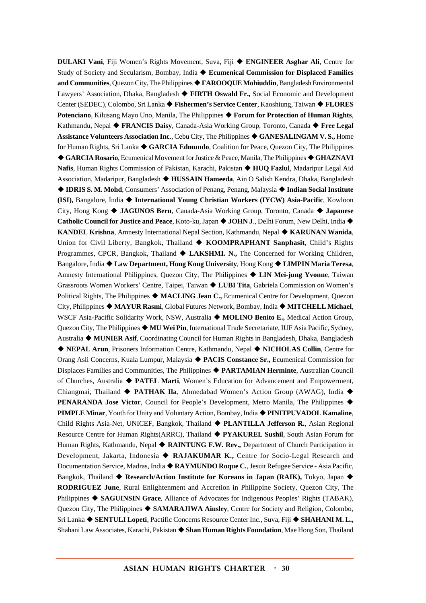**DULAKI Vani**, Fiji Women's Rights Movement, Suva, Fiji  $\blacklozenge$  **ENGINEER Asghar Ali**, Centre for Study of Society and Secularism, Bombay, India  $\blacklozenge$  Ecumenical Commission for Displaced Families **and Communities**, Quezon City, The Philippines ♦ **FAROOQUE Mohiuddin**, Bangladesh Environmental Lawyers' Association, Dhaka, Bangladesh  $\blacklozenge$  **FIRTH Oswald Fr.,** Social Economic and Development Center (SEDEC), Colombo, Sri Lanka ◆ Fishermen's Service Center, Kaoshiung, Taiwan ◆ FLORES **Potenciano**, Kilusang Mayo Uno, Manila, The Philippines  $\blacklozenge$  **Forum for Protection of Human Rights**, Kathmandu, Nepal ◆ **FRANCIS Daisy**, Canada-Asia Working Group, Toronto, Canada ◆ **Free Legal** Assistance Volunteers Association Inc., Cebu City, The Philippines  $\blacklozenge$  GANESALINGAM V. S., Home for Human Rights, Sri Lanka  $\blacklozenge$  GARCIA Edmundo, Coalition for Peace, Quezon City, The Philippines ◆ GARCIA Rosario, Ecumenical Movement for Justice & Peace, Manila, The Philippines ◆ GHAZNAVI Nafis, Human Rights Commission of Pakistan, Karachi, Pakistan  $\blacklozenge$  HUQ Fazlul, Madaripur Legal Aid Association, Madaripur, Bangladesh ◆ HUSSAIN Hameeda, Ain O Salish Kendra, Dhaka, Bangladesh ◆ **IDRIS S. M. Mohd**, Consumers' Association of Penang, Penang, Malaysia ◆ Indian Social Institute **(ISI), Bangalore, India ◆ International Young Christian Workers (IYCW) Asia-Pacific, Kowloon** City, Hong Kong  $\blacklozenge$  JAGUNOS Bern, Canada-Asia Working Group, Toronto, Canada  $\blacklozenge$  Japanese **Catholic Council for Justice and Peace, Koto-ku, Japan ♦ JOHN J., Delhi Forum, New Delhi, India ♦ KANDEL Krishna**, Amnesty International Nepal Section, Kathmandu, Nepal ♦ KARUNAN Wanida, Union for Civil Liberty, Bangkok, Thailand ♦ **KOOMPRAPHANT Sanphasit**, Child's Rights Programmes, CPCR, Bangkok, Thailand ♦ LAKSHMI. N., The Concerned for Working Children, Bangalore, India ◆ Law Department, Hong Kong University, Hong Kong ◆ LIMPIN Maria Teresa, Amnesty International Philippines, Quezon City, The Philippines  $\blacklozenge$  LIN Mei-jung Yvonne, Taiwan Grassroots Women Workers' Centre, Taipei, Taiwan  $\blacklozenge$  LUBI Tita, Gabriela Commission on Women's Political Rights, The Philippines ♦ MACLING Jean C., Ecumenical Centre for Development, Quezon City, Philippines  $\blacklozenge$  **MAYUR Rasmi**, Global Futures Network, Bombay, India  $\blacklozenge$  **MITCHELL Michael**, WSCF Asia-Pacific Solidarity Work, NSW, Australia  $\blacklozenge$  **MOLINO Benito E.**, Medical Action Group, Quezon City, The Philippines  $\blacklozenge$  **MU Wei Pin**, International Trade Secretariate, IUF Asia Pacific, Sydney, Australia ♦ MUNIER Asif, Coordinating Council for Human Rights in Bangladesh, Dhaka, Bangladesh ◆ **NEPAL Arun**, Prisoners Information Centre, Kathmandu, Nepal ◆ **NICHOLAS Collin**, Centre for Orang Asli Concerns, Kuala Lumpur, Malaysia u **PACIS Constance Sr.,** Ecumenical Commission for Displaces Families and Communities, The Philippines u **PARTAMIAN Herminte**, Australian Council of Churches, Australia  $\blacklozenge$  **PATEL Marti**, Women's Education for Advancement and Empowerment, Chiangmai, Thailand ◆ **PATHAK Ila**, Ahmedabad Women's Action Group (AWAG), India ◆ **PENARANDA Jose Victor, Council for People's Development, Metro Manila, The Philippines**  $\blacklozenge$ **PIMPLE Minar**, Youth for Unity and Voluntary Action, Bombay, India  $\blacklozenge$  **PINITPUVADOL Kamaline**, Child Rights Asia-Net, UNICEF, Bangkok, Thailand  $\blacklozenge$  **PLANTILLA Jefferson R.**, Asian Regional Resource Centre for Human Rights(ARRC), Thailand  $\blacklozenge$  PYAKUREL Sushil, South Asian Forum for Human Rights, Kathmandu, Nepal  $\blacklozenge$  RAINTUNG F.W. Rev., Department of Church Participation in Development, Jakarta, Indonesia ◆ RAJAKUMAR K., Centre for Socio-Legal Research and Documentation Service, Madras, India ◆ RAYMUNDO Roque C., Jesuit Refugee Service - Asia Pacific, Bangkok, Thailand  $\blacklozenge$  Research/Action Institute for Koreans in Japan (RAIK), Tokyo, Japan  $\blacklozenge$ **RODRIGUEZ June**, Rural Enlightenment and Accretion in Philippine Society, Quezon City, The Philippines  $\blacklozenge$  **SAGUINSIN Grace**, Alliance of Advocates for Indigenous Peoples' Rights (TABAK), Quezon City, The Philippines  $\blacklozenge$  **SAMARAJIWA Ainsley**, Centre for Society and Religion, Colombo, Sri Lanka ◆ **SENTULI Lopeti**, Pactific Concerns Resource Center Inc., Suva, Fiji ◆ **SHAHANI M. L.,** Shahani Law Associates, Karachi, Pakistan  $\blacklozenge$  Shan Human Rights Foundation, Mae Hong Son, Thailand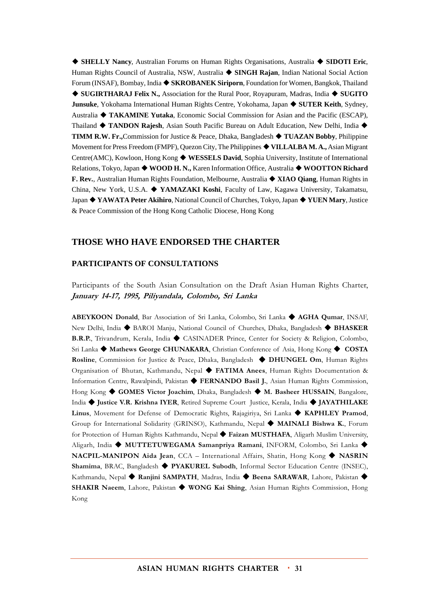◆ **SHELLY Nancy**, Australian Forums on Human Rights Organisations, Australia ◆ **SIDOTI Eric**, Human Rights Council of Australia, NSW, Australia ♦ SINGH Rajan, Indian National Social Action Forum (INSAF), Bombay, India ◆ **SKROBANEK Siriporn**, Foundation for Women, Bangkok, Thailand ◆ **SUGIRTHARAJ Felix N., Association for the Rural Poor, Royapuram, Madras, India ◆ SUGITO Junsuke**, Yokohama International Human Rights Centre, Yokohama, Japan  $\blacklozenge$  **SUTER Keith**, Sydney, Australia  $\blacklozenge$  **TAKAMINE Yutaka**, Economic Social Commission for Asian and the Pacific (ESCAP), Thailand ◆ TANDON Rajesh, Asian South Pacific Bureau on Adult Education, New Delhi, India ◆ **TIMM R.W. Fr.,**Commission for Justice & Peace, Dhaka, Bangladesh ◆ **TUAZAN Bobby**, Philippine Movement for Press Freedom (FMPF), Quezon City, The Philippines  $\blacklozenge$  VILLALBA M. A., Asian Migrant Centre(AMC), Kowloon, Hong Kong  $\blacklozenge$  WESSELS David, Sophia University, Institute of International Relations, Tokyo, Japan  $\blacklozenge$  **WOOD H. N., Karen Information Office, Australia**  $\blacklozenge$  **<b>WOOTTON Richard F. Rev.**, Australian Human Rights Foundation, Melbourne, Australia ◆ XIAO Qiang, Human Rights in China, New York, U.S.A.  $\blacklozenge$  YAMAZAKI Koshi, Faculty of Law, Kagawa University, Takamatsu, Japan ◆ YAWATA Peter Akihiro, National Council of Churches, Tokyo, Japan ◆ YUEN Mary, Justice & Peace Commission of the Hong Kong Catholic Diocese, Hong Kong

#### **THOSE WHO HAVE ENDORSED THE CHARTER**

#### **PARTICIPANTS OF CONSULTATIONS**

Participants of the South Asian Consultation on the Draft Asian Human Rights Charter, January 14-17, 1995, Piliyandala, Colombo, Sri Lanka

ABEYKOON Donald, Bar Association of Sri Lanka, Colombo, Sri Lanka + AGHA Qumar, INSAF, New Delhi, India  $\blacklozenge$  BAROI Manju, National Council of Churches, Dhaka, Bangladesh  $\blacklozenge$  BHASKER B.R.P., Trivandrum, Kerala, India  $\blacklozenge$  CASINADER Prince, Center for Society & Religion, Colombo, Sri Lanka  $\blacklozenge$  Mathews George CHUNAKARA, Christian Conference of Asia, Hong Kong  $\blacklozenge$  COSTA Rosline, Commission for Justice & Peace, Dhaka, Bangladesh  $\blacklozenge$  DHUNGEL Om, Human Rights Organisation of Bhutan, Kathmandu, Nepal  $\blacklozenge$  FATIMA Anees, Human Rights Documentation & Information Centre, Rawalpindi, Pakistan  $\blacklozenge$  FERNANDO Basil J., Asian Human Rights Commission, Hong Kong  $\blacklozenge$  GOMES Victor Joachim, Dhaka, Bangladesh  $\blacklozenge$  M. Basheer HUSSAIN, Bangalore, India ◆ Justice V.R. Krishna IYER, Retired Supreme Court Justice, Kerala, India ◆ JAYATHILAKE Linus, Movement for Defense of Democratic Rights, Rajagiriya, Sri Lanka  $\blacklozenge$  KAPHLEY Pramod, Group for International Solidarity (GRINSO), Kathmandu, Nepal  $\blacklozenge$  MAINALI Bishwa K., Forum for Protection of Human Rights Kathmandu, Nepal  $\blacklozenge$  Faizan MUSTHAFA, Aligarh Muslim University, Aligarh, India  $\blacklozenge$  MUTTETUWEGAMA Samanpriya Ramani, INFORM, Colombo, Sri Lanka  $\blacklozenge$ NACPIL-MANIPON Aida Jean, CCA - International Affairs, Shatin, Hong Kong  $\blacklozenge$  NASRIN Shamima, BRAC, Bangladesh  $\blacklozenge$  PYAKUREL Subodh, Informal Sector Education Centre (INSEC), Kathmandu, Nepal  $\blacklozenge$  Ranjini SAMPATH, Madras, India  $\blacklozenge$  Beena SARAWAR, Lahore, Pakistan  $\blacklozenge$ SHAKIR Naeem, Lahore, Pakistan  $\blacklozenge$  WONG Kai Shing, Asian Human Rights Commission, Hong Kong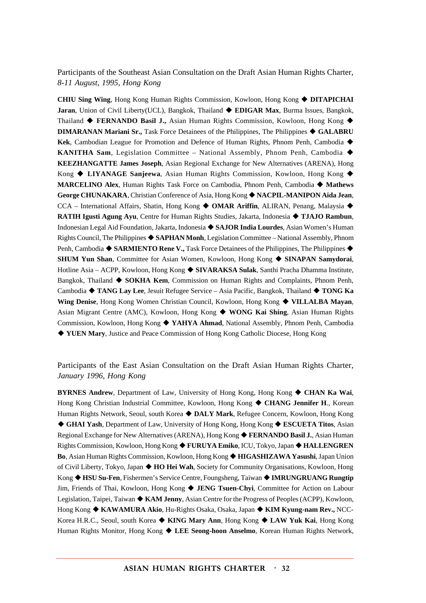Participants of the Southeast Asian Consultation on the Draft Asian Human Rights Charter, *8-11 August, 1995, Hong Kong*

**CHIU Sing Wing**, Hong Kong Human Rights Commission, Kowloon, Hong Kong  $\blacklozenge$  **DITAPICHAI Jaran**, Union of Civil Liberty(UCL), Bangkok, Thailand  $\blacklozenge$  **EDIGAR Max**, Burma Issues, Bangkok, Thailand ◆ **FERNANDO Basil J.,** Asian Human Rights Commission, Kowloon, Hong Kong ◆ **DIMARANAN Mariani Sr.,** Task Force Detainees of the Philippines, The Philippines  $\blacklozenge$  GALABRU **Kek**, Cambodian League for Promotion and Defence of Human Rights, Phnom Penh, Cambodia u **KANITHA Sam**, Legislation Committee – National Assembly, Phnom Penh, Cambodia  $\blacklozenge$ **KEEZHANGATTE James Joseph**, Asian Regional Exchange for New Alternatives (ARENA), Hong Kong  $\triangle$  **LIYANAGE Sanjeewa**, Asian Human Rights Commission, Kowloon, Hong Kong  $\triangle$ **MARCELINO Alex**, Human Rights Task Force on Cambodia, Phnom Penh, Cambodia  $\blacklozenge$  Mathews George CHUNAKARA, Christian Conference of Asia, Hong Kong  $\blacklozenge$  NACPIL-MANIPON Aida Jean, CCA – International Affairs, Shatin, Hong Kong ♦ **OMAR Ariffin**, ALIRAN, Penang, Malaysia ♦ **RATIH Igusti Agung Ayu**, Centre for Human Rights Studies, Jakarta, Indonesia  $\blacklozenge$  **TJAJO Rambun**, Indonesian Legal Aid Foundation, Jakarta, Indonesia u **SAJOR India Lourdes**, Asian Women's Human Rights Council, The Philippines ♦ SAPHAN Monh, Legislation Committee – National Assembly, Phnom Penh, Cambodia ◆ SARMIENTO Rene V., Task Force Detainees of the Philippines, The Philippines ◆ **SHUM Yun Shan**, Committee for Asian Women, Kowloon, Hong Kong  $\blacklozenge$  SINAPAN Samydorai, Hotline Asia – ACPP, Kowloon, Hong Kong ◆ SIVARAKSA Sulak, Santhi Pracha Dhamma Institute, Bangkok, Thailand  $\blacklozenge$  **SOKHA Kem**, Commission on Human Rights and Complaints, Phnom Penh, Cambodia ◆ **TANG Lay Lee**, Jesuit Refugee Service – Asia Pacific, Bangkok, Thailand ◆ **TONG Ka Wing Denise**, Hong Kong Women Christian Council, Kowloon, Hong Kong ◆ **VILLALBA Mayan**, Asian Migrant Centre (AMC), Kowloon, Hong Kong u **WONG Kai Shing**, Asian Human Rights Commission, Kowloon, Hong Kong ♦ YAHYA Ahmad, National Assembly, Phnom Penh, Cambodia ◆ **YUEN Mary**, Justice and Peace Commission of Hong Kong Catholic Diocese, Hong Kong

Participants of the East Asian Consultation on the Draft Asian Human Rights Charter, *January 1996, Hong Kong*

**BYRNES Andrew**, Department of Law, University of Hong Kong, Hong Kong  $\blacklozenge$  CHAN Ka Wai, Hong Kong Christian Industrial Committee, Kowloon, Hong Kong  $\blacklozenge$  CHANG Jennifer H., Korean Human Rights Network, Seoul, south Korea  $\blacklozenge$  **DALY Mark**, Refugee Concern, Kowloon, Hong Kong ◆ GHAI Yash, Department of Law, University of Hong Kong, Hong Kong ◆ **ESCUETA Titos**, Asian Regional Exchange for New Alternatives (ARENA), Hong Kong ◆ **FERNANDO Basil J.**, Asian Human Rights Commission, Kowloon, Hong Kong ♦ **FURUYA Emiko**, ICU, Tokyo, Japan ♦ HALLENGREN **Bo**, Asian Human Rights Commission, Kowloon, Hong Kong ♦ **HIGASHIZAWA Yasushi**, Japan Union of Civil Liberty, Tokyo, Japan  $\blacklozenge$  **HO Hei Wah**, Society for Community Organisations, Kowloon, Hong Kong ◆ **HSU Su-Fen**, Fishermen's Service Centre, Foungsheng, Taiwan ◆ **IMRUNGRUANG Rungtip** Jim, Friends of Thai, Kowloon, Hong Kong  $\blacklozenge$  **JENG Tsuen-Chyi**, Committee for Action on Labour Legislation, Taipei, Taiwan  $\blacklozenge$  **KAM Jenny**, Asian Centre for the Progress of Peoples (ACPP), Kowloon, Hong Kong ◆ KAWAMURA Akio, Hu-Rights Osaka, Osaka, Japan ◆ KIM Kyung-nam Rev., NCC-Korea H.R.C., Seoul, south Korea  $\blacklozenge$  KING Mary Ann, Hong Kong  $\blacklozenge$  LAW Yuk Kai, Hong Kong Human Rights Monitor, Hong Kong  $\blacklozenge$  LEE Seong-hoon Anselmo, Korean Human Rights Network,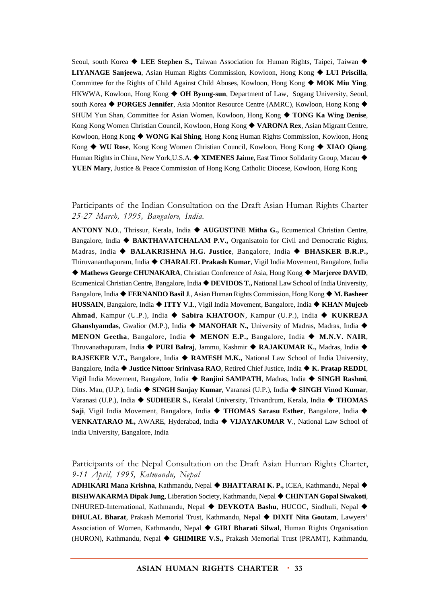Seoul, south Korea  $\blacklozenge$  LEE Stephen S., Taiwan Association for Human Rights, Taipei, Taiwan  $\blacklozenge$ **LIYANAGE Sanjeewa**, Asian Human Rights Commission, Kowloon, Hong Kong ◆ LUI Priscilla, Committee for the Rights of Child Against Child Abuses, Kowloon, Hong Kong  $\blacklozenge$  MOK Miu Ying, HKWWA, Kowloon, Hong Kong ◆ **OH Byung-sun**, Department of Law, Sogang University, Seoul, south Korea  $\blacklozenge$  **PORGES Jennifer**, Asia Monitor Resource Centre (AMRC), Kowloon, Hong Kong  $\blacklozenge$ SHUM Yun Shan, Committee for Asian Women, Kowloon, Hong Kong  $\blacklozenge$  TONG Ka Wing Denise, Kong Kong Women Christian Council, Kowloon, Hong Kong  $\blacklozenge$  VARONA Rex, Asian Migrant Centre, Kowloon, Hong Kong  $\blacklozenge$  WONG Kai Shing, Hong Kong Human Rights Commission, Kowloon, Hong Kong  $\blacklozenge$  WU Rose, Kong Kong Women Christian Council, Kowloon, Hong Kong  $\blacklozenge$  XIAO Qiang, Human Rights in China, New York, U.S.A.  $\blacklozenge$  **XIMENES Jaime**, East Timor Solidarity Group, Macau  $\blacklozenge$ **YUEN Mary**, Justice & Peace Commission of Hong Kong Catholic Diocese, Kowloon, Hong Kong

#### Participants of the Indian Consultation on the Draft Asian Human Rights Charter 25-27 March, 1995, Bangalore, India.

**ANTONY N.O., Thrissur, Kerala, India ♦ AUGUSTINE Mitha G., Ecumenical Christian Centre,** Bangalore, India  $\blacklozenge$  **BAKTHAVATCHALAM P.V.**, Organisatoin for Civil and Democratic Rights, Madras, India  $\blacklozenge$  **BALAKRISHNA H.G. Justice**, Bangalore, India  $\blacklozenge$  **BHASKER B.R.P.**, Thiruvananthapuram, India ◆ CHARALEL Prakash Kumar, Vigil India Movement, Bangalore, India ◆ Mathews George CHUNAKARA, Christian Conference of Asia, Hong Kong ◆ Marjeree DAVID, Ecumenical Christian Centre, Bangalore, India ♦ DEVIDOS T., National Law School of India University, Bangalore, India ◆ **FERNANDO Basil J.**, Asian Human Rights Commission, Hong Kong ◆ M. Basheer **HUSSAIN**, Bangalore, India ◆ **ITTY V.I**., Vigil India Movement, Bangalore, India ◆ **KHAN Mujeeb Ahmad**, Kampur (U.P.), India ◆ Sabira KHATOON, Kampur (U.P.), India ◆ KUKREJA Ghanshyamdas, Gwalior (M.P.), India  $\blacklozenge$  MANOHAR N., University of Madras, Madras, India  $\blacklozenge$ **MENON Geetha**, Bangalore, India ♦ **MENON E.P.**, Bangalore, India ♦ **M.N.V. NAIR**, Thruvanathapuram, India ◆ **PURI Balraj**, Jammu, Kashmir ◆ **RAJAKUMAR K.,** Madras, India ◆ **RAJSEKER V.T., Bangalore, India**  $\blacklozenge$  **<b>RAMESH M.K.,** National Law School of India University, Bangalore, India ♦ **Justice Nittoor Srinivasa RAO**, Retired Chief Justice, India ♦ **K. Pratap REDDI**, Vigil India Movement, Bangalore, India ◆ Ranjini SAMPATH, Madras, India ◆ SINGH Rashmi, Ditts. Mau, (U.P.), India ◆ **SINGH Sanjay Kumar**, Varanasi (U.P.), India ◆ **SINGH Vinod Kumar**, Varanasi (U.P.), India  $\blacklozenge$  **SUDHEER S.,** Keralal University, Trivandrum, Kerala, India  $\blacklozenge$  **THOMAS** Saji, Vigil India Movement, Bangalore, India ◆ **THOMAS Sarasu Esther**, Bangalore, India ◆ **VENKATARAO M., AWARE, Hyderabad, India**  $\blacklozenge$  **VIJAYAKUMAR V., National Law School of** India University, Bangalore, India

Participants of the Nepal Consultation on the Draft Asian Human Rights Charter, 9-11 April, 1995, Katmandu, Nepal

**ADHIKARI Mana Krishna, Kathmandu, Nepal ◆ BHATTARAI K. P., ICEA, Kathmandu, Nepal ◆ BISHWAKARMA Dipak Jung, Liberation Society, Kathmandu, Nepal**  $\blacklozenge$  **CHINTAN Gopal Siwakoti,** INHURED-International, Kathmandu, Nepal ♦ DEVKOTA Bashu, HUCOC, Sindhuli, Nepal ♦ **DHULAL Bharat**, Prakash Memorial Trust, Kathmandu, Nepal ♦ DIXIT Nita Goutam, Lawyers' Association of Women, Kathmandu, Nepal ♦ GIRI Bharati Silwal, Human Rights Organisation (HURON), Kathmandu, Nepal u **GHIMIRE V.S.,** Prakash Memorial Trust (PRAMT), Kathmandu,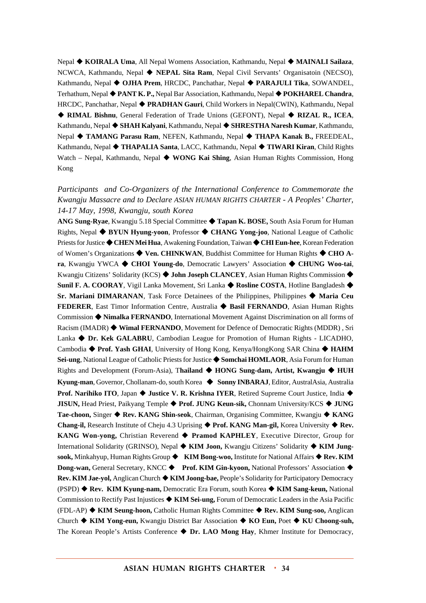Nepal ◆ KOIRALA Uma, All Nepal Womens Association, Kathmandu, Nepal ◆ MAINALI Sailaza, NCWCA, Kathmandu, Nepal ◆ **NEPAL Sita Ram**, Nepal Civil Servants' Organisatoin (NECSO), Kathmandu, Nepal ◆ OJHA Prem, HRCDC, Panchathar, Nepal ◆ PARAJULI Tika, SOWANDEL, Terhathum, Nepal ◆ PANT K. P., Nepal Bar Association, Kathmandu, Nepal ◆ POKHAREL Chandra, HRCDC, Panchathar, Nepal ◆ PRADHAN Gauri, Child Workers in Nepal(CWIN), Kathmandu, Nepal ◆ RIMAL Bishnu, General Federation of Trade Unions (GEFONT), Nepal ◆ RIZAL R., ICEA, Kathmandu, Nepal ◆ SHAH Kalyani, Kathmandu, Nepal ◆ SHRESTHA Naresh Kumar, Kathmandu, Nepal ◆ TAMANG Parasu Ram, NEFEN, Kathmandu, Nepal ◆ THAPA Kanak B., FREEDEAL, Kathmandu, Nepal ◆ THAPALIA Santa, LACC, Kathmandu, Nepal ◆ TIWARI Kiran, Child Rights Watch – Nepal, Kathmandu, Nepal  $\blacklozenge$  WONG Kai Shing, Asian Human Rights Commission, Hong Kong

#### *Participants and Co-Organizers of the International Conference to Commemorate the Kwangju Massacre and to Declare ASIAN HUMAN RIGHTS CHARTER - A Peoples' Charter, 14-17 May, 1998, Kwangju, south Korea*

ANG Sung-Ryae, Kwangju 5.18 Special Committee  $\blacklozenge$  Tapan K. BOSE, South Asia Forum for Human Rights, Nepal  $\blacklozenge$  **BYUN Hyung-yoon**, Professor  $\blacklozenge$  **CHANG Yong-joo**, National League of Catholic Priests for Justice ◆ CHEN Mei Hua, Awakening Foundation, Taiwan ◆ CHI Eun-hee, Korean Federation of Women's Organizations  $\blacklozenge$  Ven. CHINKWAN, Buddhist Committee for Human Rights  $\blacklozenge$  CHO A**ra**, Kwangju YWCA ◆ CHOI Young-do, Democratic Lawyers' Association ◆ CHUNG Woo-tai, Kwangju Citizens' Solidarity (KCS) ♦ **John Joseph CLANCEY**, Asian Human Rights Commission ♦ **Sunil F. A. COORAY**, Vigil Lanka Movement, Sri Lanka ◆ Rosline COSTA, Hotline Bangladesh ◆ **Sr. Mariani DIMARANAN**, Task Force Detainees of the Philippines, Philippines ♦ Maria Ceu **FEDERER**, East Timor Information Centre, Australia  $\blacklozenge$  Basil FERNANDO, Asian Human Rights Commission  $\blacklozenge$  **Nimalka FERNANDO**, International Movement Against Discrimination on all forms of Racism (IMADR)  $\blacklozenge$  Wimal FERNANDO, Movement for Defence of Democratic Rights (MDDR), Sri Lanka ◆ Dr. Kek GALABRU, Cambodian League for Promotion of Human Rights - LICADHO, Cambodia ◆ Prof. Yash GHAI, University of Hong Kong, Kenya/HongKong SAR China ◆ HAHM Sei-ung, National League of Catholic Priests for Justice ◆ Somchai HOMLAOR, Asia Forum for Human Rights and Development (Forum-Asia), Thailand ♦ HONG Sung-dam, Artist, Kwangju ♦ HUH **Kyung-man, Governor, Chollanam-do, south Korea ♦ Sonny INBARAJ, Editor, AustralAsia, Australia Prof. Narihiko ITO**, Japan  $\blacklozenge$  Justice V. R. Krishna IYER, Retired Supreme Court Justice, India  $\blacklozenge$ **JISUN, Head Priest, Paikyang Temple**  $\blacklozenge$  **Prof. JUNG Keun-sik, Chonnam University/KCS**  $\blacklozenge$  **JUNG Tae-choon, Singer ♦ Rev. KANG Shin-seok**, Chairman, Organising Committee, Kwangju ♦ KANG **Chang-il, Research Institute of Cheju 4.3 Uprising ♦ Prof. KANG Man-gil, Korea University ♦ Rev. KANG Won-yong, Christian Reverend ♦ Pramod KAPHLEY, Executive Director, Group for** International Solidarity (GRINSO), Nepal  $\blacklozenge$  **KIM Joon,** *Kwangju Citizens'* Solidarity  $\blacklozenge$  **KIM Jung**sook, Minkahyup, Human Rights Group ♦ KIM Bong-woo, Institute for National Affairs ♦ Rev. KIM **Dong-wan, General Secretary, KNCC ♦ Prof. KIM Gin-kyoon, National Professors' Association ♦ Rev. KIM Jae-yol, Anglican Church ♦ KIM Joong-bae, People's Solidarity for Participatory Democracy** (PSPD) ◆ Rev. KIM Kyung-nam, Democratic Era Forum, south Korea ◆ KIM Sang-keun, National Commission to Rectify Past Injustices ♦ **KIM Sei-ung**, Forum of Democratic Leaders in the Asia Pacific (FDL-AP) ♦ KIM Seung-hoon, Catholic Human Rights Committee ♦ Rev. KIM Sung-soo, Anglican Church ◆ KIM Yong-eun, Kwangju District Bar Association ◆ KO Eun, Poet ◆ KU Choong-suh, The Korean People's Artists Conference  $\blacklozenge$  **Dr. LAO Mong Hay**, Khmer Institute for Democracy,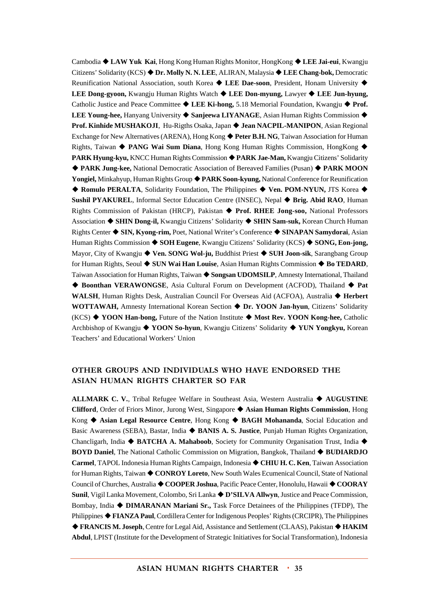Cambodia ◆ LAW Yuk Kai, Hong Kong Human Rights Monitor, HongKong ◆ LEE Jai-eui, Kwangju Citizens' Solidarity (KCS) ◆ Dr. Molly N. N. LEE, ALIRAN, Malaysia ◆ LEE Chang-bok, Democratic Reunification National Association, south Korea ♦ LEE Dae-soon, President, Honam University ♦ **LEE Dong-gyoon, Kwangju Human Rights Watch ♦ LEE Don-myung, Lawyer ♦ LEE Jun-hyung,** Catholic Justice and Peace Committee ♦ LEE Ki-hong, 5.18 Memorial Foundation, Kwangju ♦ Prof. **LEE Young-hee, Hanyang University ◆ Sanjeewa LIYANAGE, Asian Human Rights Commission ◆ Prof. Kinhide MUSHAKOJI**, Hu-Rigths Osaka, Japan ♦ Jean NACPIL-MANIPON, Asian Regional Exchange for New Alternatives (ARENA), Hong Kong  $\blacklozenge$  Peter B.H. NG, Taiwan Association for Human Rights, Taiwan  $\triangleq$  **PANG Wai Sum Diana**, Hong Kong Human Rights Commission, HongKong  $\triangleq$ PARK Hyung-kyu, KNCC Human Rights Commission ♦ PARK Jae-Man, Kwangju Citizens' Solidarity ◆ **PARK Jung-kee,** National Democratic Association of Bereaved Families (Pusan) ◆ **PARK MOON** Yongiel, Minkahyup, Human Rights Group  $\blacklozenge$  PARK Soon-kyung, National Conference for Reunification ◆ Romulo PERALTA, Solidarity Foundation, The Philippines ◆ Ven. POM-NYUN, JTS Korea ◆ **Sushil PYAKUREL**, Informal Sector Education Centre (INSEC), Nepal ♦ Brig. Abid RAO, Human Rights Commission of Pakistan (HRCP), Pakistan  $\blacklozenge$  Prof. RHEE Jong-soo, National Professors Association ♦ SHIN Dong-il, Kwangju Citizens' Solidarity ♦ SHIN Sam-suk, Korean Church Human Rights Center ◆ SIN, Kyong-rim, Poet, National Writer's Conference ◆ SINAPAN Samydorai, Asian Human Rights Commission ♦ **SOH Eugene**, Kwangju Citizens' Solidarity (KCS) ♦ **SONG, Eon-jong,** Mayor, City of Kwangju  $\blacklozenge$  Ven. SONG Wol-ju, Buddhist Priest  $\blacklozenge$  SUH Joon-sik, Sarangbang Group for Human Rights, Seoul  $\blacklozenge$  **SUN Wai Han Louise**, Asian Human Rights Commission  $\blacklozenge$  **Bo TEDARD**, Taiwan Association for Human Rights, Taiwan  $\blacklozenge$  Songsan UDOMSILP, Amnesty International, Thailand ◆ Boonthan VERAWONGSE, Asia Cultural Forum on Development (ACFOD), Thailand ◆ Pat WALSH, Human Rights Desk, Australian Council For Overseas Aid (ACFOA), Australia  $\blacklozenge$  Herbert WOTTAWAH, Amnesty International Korean Section  $\blacklozenge$  Dr. YOON Jan-hyun, Citizens' Solidarity  $(KCS)$   $\blacklozenge$  **YOON Han-bong,** Future of the Nation Institute  $\blacklozenge$  **Most Rev. YOON Kong-hee,** Catholic Archbishop of Kwangju ◆ **YOON So-hyun**, Kwangju Citizens' Solidarity ◆ **YUN Yongkyu**, Korean Teachers' and Educational Workers' Union

#### OTHER GROUPS AND INDIVIDUALS WHO HAVE ENDORSED THE ASIAN HUMAN RIGHTS CHARTER SO FAR

**ALLMARK C. V.**, Tribal Refugee Welfare in Southeast Asia, Western Australia ◆ AUGUSTINE Clifford, Order of Friors Minor, Jurong West, Singapore  $\blacklozenge$  Asian Human Rights Commission, Hong Kong ◆ Asian Legal Resource Centre, Hong Kong ◆ BAGH Mohananda, Social Education and Basic Awareness (SEBA), Bastar, India  $\blacklozenge$  **BANIS A. S. Justice**, Punjab Human Rights Organization, Chancligarh, India ♦ **BATCHA A. Mahaboob**, Society for Community Organisation Trust, India ♦ **BOYD Daniel**, The National Catholic Commission on Migration, Bangkok, Thailand  $\blacklozenge$  **BUDIARDJO Carmel**, TAPOL Indonesia Human Rights Campaign, Indonesia u**CHIU H. C. Ken**, Taiwan Association for Human Rights, Taiwan  $\triangle$  CONROY Loreto, New South Wales Ecumenical Council, State of National Council of Churches, Australia ♦ COOPER Joshua, Pacific Peace Center, Honolulu, Hawaii ♦ COORAY Sunil, Vigil Lanka Movement, Colombo, Sri Lanka ♦ D'SILVA Allwyn, Justice and Peace Commission, Bombay, India  $\blacklozenge$  **DIMARANAN Mariani Sr.,** Task Force Detainees of the Philippines (TFDP), The Philippines  $\blacklozenge$  **FIANZA Paul**, Cordillera Center for Indigenous Peoples' Rights (CRCIPR), The Philippines ◆ FRANCIS M. Joseph, Centre for Legal Aid, Assistance and Settlement (CLAAS), Pakistan ◆ HAKIM **Abdul**, LPIST (Institute for the Development of Strategic Initiatives for Social Transformation), Indonesia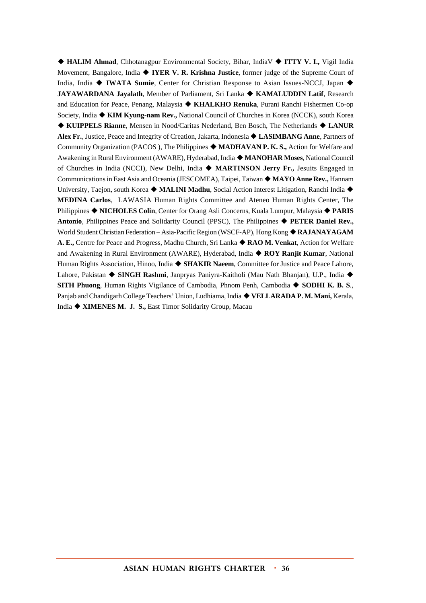◆ HALIM Ahmad, Chhotanagpur Environmental Society, Bihar, IndiaV ◆ ITTY V. I., Vigil India Movement, Bangalore, India  $\blacklozenge$  **IYER V. R. Krishna Justice**, former judge of the Supreme Court of India, India  $\blacklozenge$  **IWATA Sumie**, Center for Christian Response to Asian Issues-NCCJ, Japan  $\blacklozenge$ JAYAWARDANA Jayalath, Member of Parliament, Sri Lanka  $\blacklozenge$  KAMALUDDIN Latif, Research and Education for Peace, Penang, Malaysia  $\blacklozenge$  **KHALKHO Renuka**, Purani Ranchi Fishermen Co-op Society, India ◆ **KIM Kyung-nam Rev.,** National Council of Churches in Korea (NCCK), south Korea ◆ KUIPPELS Rianne, Mensen in Nood/Caritas Nederland, Ben Bosch, The Netherlands ◆ LANUR **Alex Fr.**, Justice, Peace and Integrity of Creation, Jakarta, Indonesia  $\blacklozenge$  **LASIMBANG Anne**, Partners of Community Organization (PACOS), The Philippines ♦ **MADHAVAN P. K. S.,** Action for Welfare and Awakening in Rural Environment (AWARE), Hyderabad, India u **MANOHAR Moses**, National Council of Churches in India (NCCI), New Delhi, India  $\blacklozenge$  **MARTINSON Jerry Fr.**, Jesuits Engaged in Communications in East Asia and Oceania (JESCOMEA), Taipei, Taiwan  $\blacklozenge$  MAYO Anne Rev., Hannam University, Taejon, south Korea ◆ MALINI Madhu, Social Action Interest Litigation, Ranchi India ◆ **MEDINA Carlos**, LAWASIA Human Rights Committee and Ateneo Human Rights Center, The Philippines ◆ NICHOLES Colin, Center for Orang Asli Concerns, Kuala Lumpur, Malaysia ◆ PARIS Antonio, Philippines Peace and Solidarity Council (PPSC), The Philippines ♦ PETER Daniel Rev., World Student Christian Federation – Asia-Pacific Region (WSCF-AP), Hong Kong  $\blacklozenge$  RAJANAYAGAM **A. E., Centre for Peace and Progress, Madhu Church, Sri Lanka ♦ RAO M. Venkat, Action for Welfare** and Awakening in Rural Environment (AWARE), Hyderabad, India ◆ ROY Ranjit Kumar, National Human Rights Association, Hinoo, India  $\blacklozenge$  **SHAKIR Naeem**, Committee for Justice and Peace Lahore, Lahore, Pakistan ◆ SINGH Rashmi, Janpryas Paniyra-Kaitholi (Mau Nath Bhanjan), U.P., India ◆ **SITH Phuong**, Human Rights Vigilance of Cambodia, Phnom Penh, Cambodia  $\blacklozenge$  **SODHI K. B. S.**, Panjab and Chandigarh College Teachers' Union, Ludhiama, India  $\blacklozenge$  VELLARADA P. M. Mani, Kerala, India u **XIMENES M. J. S.,** East Timor Solidarity Group, Macau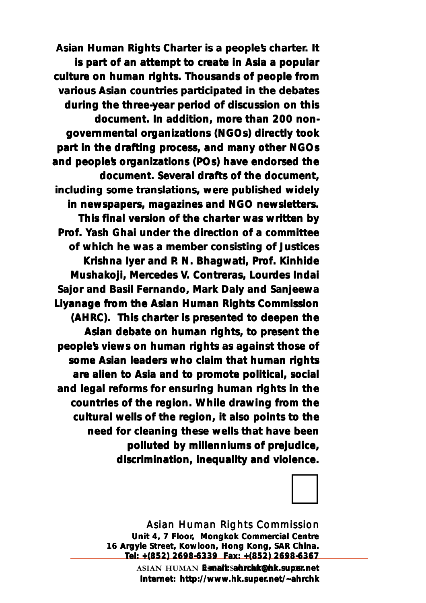Asian Human Rights Charter is a people's charter. It *is part of an attempt to create in Asia a popular culture on human rights. Thousands of people from various Asian countries participated in the debates during the three-year period of discussion on this document. In addition, more than 200 non- e nongovernmental organizations (NGOs) directly took part in the drafting process, and many other NGOs and people' people's organizations (POs) have endorsed the document. Several drafts of the document, document. Several drafts of document, including some translations, were published widely in newspapers, magazines and NGO newsletters. in newspapers, magazines and NGO newsletters. This final version of the charter was written by Prof. Yash Ghai under the direction of a committee of which he was a member consisting of Justices Krishna Iyer and P. N. Bhagwati, Prof. Kinhide Mushakoji, Mercedes V. Contreras, Lourdes Indai des Indai Sajor and Basil Fernando, Mark Daly and Sanjeewa Liyanage from the Asian Human Rights Commission (AHRC). This charter is presented to deepen the Asian debate on human rights, to present the people' people's views on human rights as against those of some Asian leaders who claim that human rights are alien to Asia and to promote political, social omote political, social and legal reforms for ensuring human rights in the countries of the region. While drawing from the cultural wells of the region, it also points to the need for cleaning these wells that have been polluted by millenniums of prejudice, ejudice, discrimination, inequality and violence. discrimination, inequality* 



*Asian Human Rights Commission Unit 4, 7 Floor, Mongkok Commercial Centre 16 Argyle Street, Kowloon, Hong Kong, SAR China. Tel: +(852) 2698-6339 Fax: +(852) 2698-6367*

> ASIAN HUMAN RIGHTS CHARTER · 37 *E-mail: ahrchk@hk.super.net Internet: http://www.hk.super.net/~ahrchk*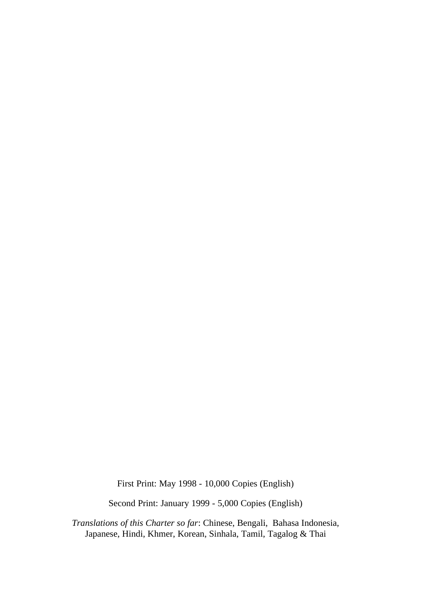First Print: May 1998 - 10,000 Copies (English)

Second Print: January 1999 - 5,000 Copies (English)

*Translations of this Charter so far*: Chinese, Bengali, Bahasa Indonesia, Japanese, Hindi, Khmer, Korean, Sinhala, Tamil, Tagalog & Thai